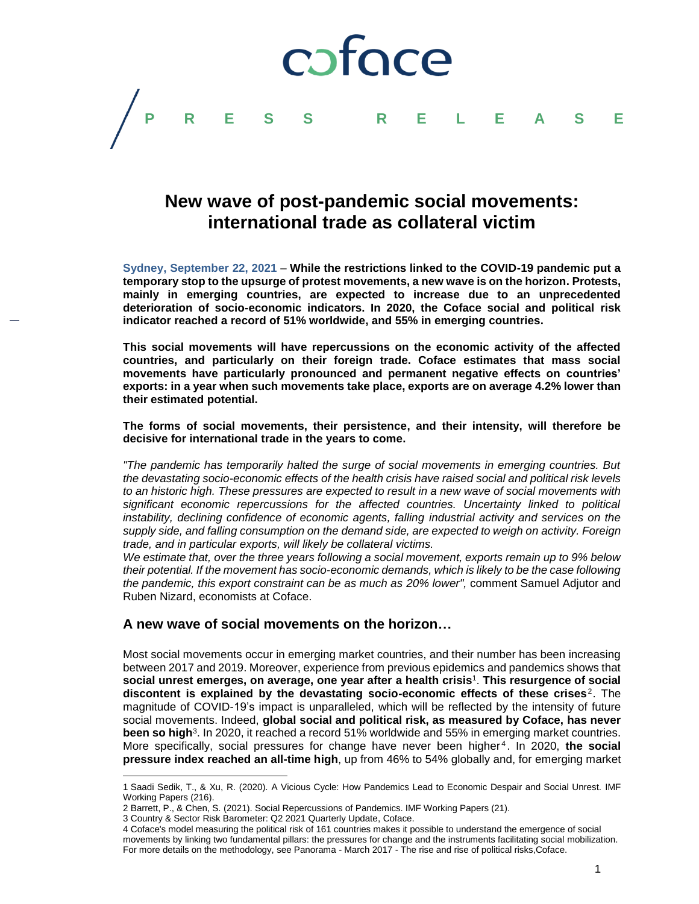

# **New wave of post-pandemic social movements: international trade as collateral victim**

**Sydney, September 22, 2021** – **While the restrictions linked to the COVID-19 pandemic put a temporary stop to the upsurge of protest movements, a new wave is on the horizon. Protests, mainly in emerging countries, are expected to increase due to an unprecedented deterioration of socio-economic indicators. In 2020, the Coface social and political risk indicator reached a record of 51% worldwide, and 55% in emerging countries.**

**This social movements will have repercussions on the economic activity of the affected countries, and particularly on their foreign trade. Coface estimates that mass social movements have particularly pronounced and permanent negative effects on countries' exports: in a year when such movements take place, exports are on average 4.2% lower than their estimated potential.**

**The forms of social movements, their persistence, and their intensity, will therefore be decisive for international trade in the years to come.**

*"The pandemic has temporarily halted the surge of social movements in emerging countries. But the devastating socio-economic effects of the health crisis have raised social and political risk levels to an historic high. These pressures are expected to result in a new wave of social movements with significant economic repercussions for the affected countries. Uncertainty linked to political instability, declining confidence of economic agents, falling industrial activity and services on the supply side, and falling consumption on the demand side, are expected to weigh on activity. Foreign trade, and in particular exports, will likely be collateral victims.* 

*We estimate that, over the three years following a social movement, exports remain up to 9% below their potential. If the movement has socio-economic demands, which is likely to be the case following the pandemic, this export constraint can be as much as 20% lower",* comment Samuel Adjutor and Ruben Nizard, economists at Coface.

## **A new wave of social movements on the horizon…**

Most social movements occur in emerging market countries, and their number has been increasing between 2017 and 2019. Moreover, experience from previous epidemics and pandemics shows that **social unrest emerges, on average, one year after a health crisis** 1 . **This resurgence of social**  discontent is explained by the devastating socio-economic effects of these crises<sup>2</sup>. The magnitude of COVID-19's impact is unparalleled, which will be reflected by the intensity of future social movements. Indeed, **global social and political risk, as measured by Coface, has never been so high**<sup>3</sup> . In 2020, it reached a record 51% worldwide and 55% in emerging market countries. More specifically, social pressures for change have never been higher<sup>4</sup>. In 2020, the social **pressure index reached an all-time high**, up from 46% to 54% globally and, for emerging market

 $\overline{a}$ 

<sup>1</sup> Saadi Sedik, T., & Xu, R. (2020). A Vicious Cycle: How Pandemics Lead to Economic Despair and Social Unrest. IMF Working Papers (216).

<sup>2</sup> Barrett, P., & Chen, S. (2021). Social Repercussions of Pandemics. IMF Working Papers (21).

<sup>3</sup> Country & Sector Risk Barometer: Q2 2021 Quarterly Update, Coface.

<sup>4</sup> Coface's model measuring the political risk of 161 countries makes it possible to understand the emergence of social movements by linking two fundamental pillars: the pressures for change and the instruments facilitating social mobilization. For more details on the methodology, see Panorama - March 2017 - The rise and rise of political risks,Coface.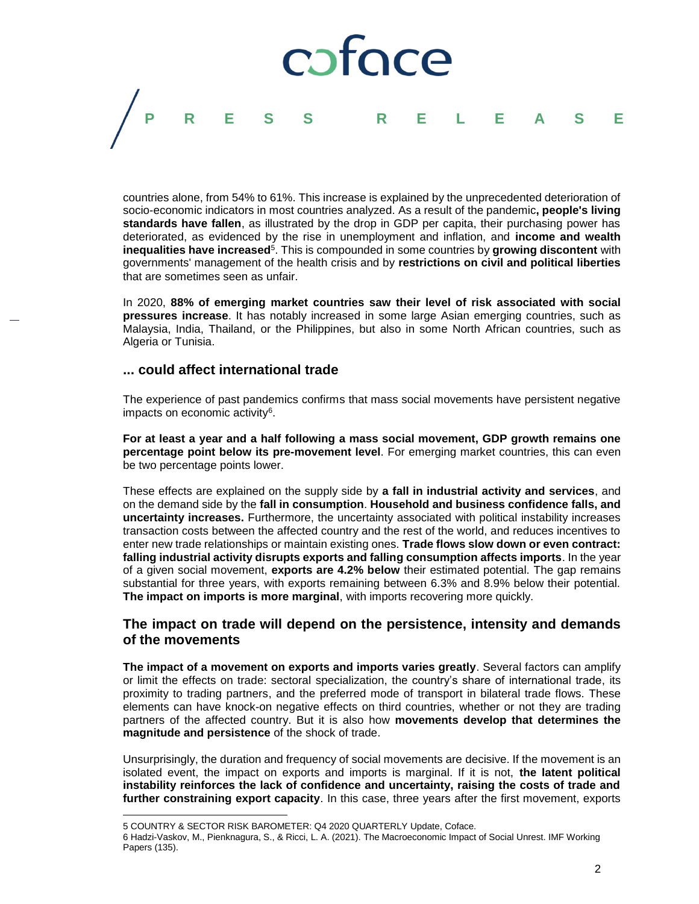

countries alone, from 54% to 61%. This increase is explained by the unprecedented deterioration of socio-economic indicators in most countries analyzed. As a result of the pandemic**, people's living standards have fallen**, as illustrated by the drop in GDP per capita, their purchasing power has deteriorated, as evidenced by the rise in unemployment and inflation, and **income and wealth inequalities have increased**<sup>5</sup> . This is compounded in some countries by **growing discontent** with governments' management of the health crisis and by **restrictions on civil and political liberties** that are sometimes seen as unfair.

In 2020, **88% of emerging market countries saw their level of risk associated with social pressures increase**. It has notably increased in some large Asian emerging countries, such as Malaysia, India, Thailand, or the Philippines, but also in some North African countries, such as Algeria or Tunisia.

### **... could affect international trade**

The experience of past pandemics confirms that mass social movements have persistent negative impacts on economic activity<sup>6</sup>.

**For at least a year and a half following a mass social movement, GDP growth remains one percentage point below its pre-movement level**. For emerging market countries, this can even be two percentage points lower.

These effects are explained on the supply side by **a fall in industrial activity and services**, and on the demand side by the **fall in consumption**. **Household and business confidence falls, and uncertainty increases.** Furthermore, the uncertainty associated with political instability increases transaction costs between the affected country and the rest of the world, and reduces incentives to enter new trade relationships or maintain existing ones. **Trade flows slow down or even contract: falling industrial activity disrupts exports and falling consumption affects imports**. In the year of a given social movement, **exports are 4.2% below** their estimated potential. The gap remains substantial for three years, with exports remaining between 6.3% and 8.9% below their potential. **The impact on imports is more marginal**, with imports recovering more quickly.

# **The impact on trade will depend on the persistence, intensity and demands of the movements**

**The impact of a movement on exports and imports varies greatly**. Several factors can amplify or limit the effects on trade: sectoral specialization, the country's share of international trade, its proximity to trading partners, and the preferred mode of transport in bilateral trade flows. These elements can have knock-on negative effects on third countries, whether or not they are trading partners of the affected country. But it is also how **movements develop that determines the magnitude and persistence** of the shock of trade.

Unsurprisingly, the duration and frequency of social movements are decisive. If the movement is an isolated event, the impact on exports and imports is marginal. If it is not, **the latent political instability reinforces the lack of confidence and uncertainty, raising the costs of trade and further constraining export capacity**. In this case, three years after the first movement, exports

 $\overline{a}$ 

<sup>5</sup> COUNTRY & SECTOR RISK BAROMETER: Q4 2020 QUARTERLY Update, Coface.

<sup>6</sup> Hadzi-Vaskov, M., Pienknagura, S., & Ricci, L. A. (2021). The Macroeconomic Impact of Social Unrest. IMF Working Papers (135).